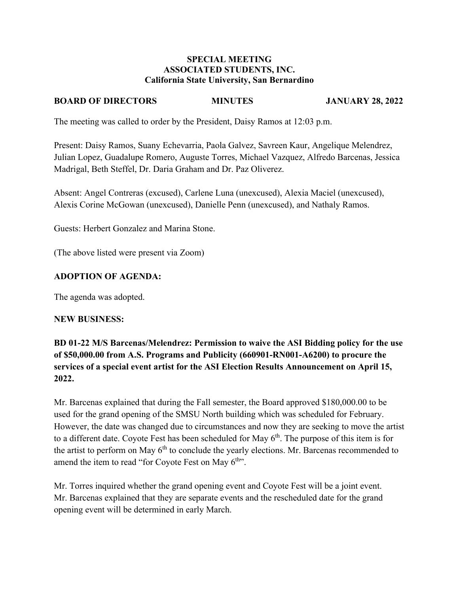#### **SPECIAL MEETING ASSOCIATED STUDENTS, INC. California State University, San Bernardino**

## **BOARD OF DIRECTORS MINUTES JANUARY 28, 2022**

The meeting was called to order by the President, Daisy Ramos at 12:03 p.m.

Present: Daisy Ramos, Suany Echevarria, Paola Galvez, Savreen Kaur, Angelique Melendrez, Julian Lopez, Guadalupe Romero, Auguste Torres, Michael Vazquez, Alfredo Barcenas, Jessica Madrigal, Beth Steffel, Dr. Daria Graham and Dr. Paz Oliverez.

Absent: Angel Contreras (excused), Carlene Luna (unexcused), Alexia Maciel (unexcused), Alexis Corine McGowan (unexcused), Danielle Penn (unexcused), and Nathaly Ramos.

Guests: Herbert Gonzalez and Marina Stone.

(The above listed were present via Zoom)

## **ADOPTION OF AGENDA:**

The agenda was adopted.

#### **NEW BUSINESS:**

**BD 01-22 M/S Barcenas/Melendrez: Permission to waive the ASI Bidding policy for the use of \$50,000.00 from A.S. Programs and Publicity (660901-RN001-A6200) to procure the services of a special event artist for the ASI Election Results Announcement on April 15, 2022.** 

Mr. Barcenas explained that during the Fall semester, the Board approved \$180,000.00 to be used for the grand opening of the SMSU North building which was scheduled for February. However, the date was changed due to circumstances and now they are seeking to move the artist to a different date. Coyote Fest has been scheduled for May  $6<sup>th</sup>$ . The purpose of this item is for the artist to perform on May  $6<sup>th</sup>$  to conclude the yearly elections. Mr. Barcenas recommended to amend the item to read "for Coyote Fest on May  $6<sup>th</sup>$ ".

Mr. Torres inquired whether the grand opening event and Coyote Fest will be a joint event. Mr. Barcenas explained that they are separate events and the rescheduled date for the grand opening event will be determined in early March.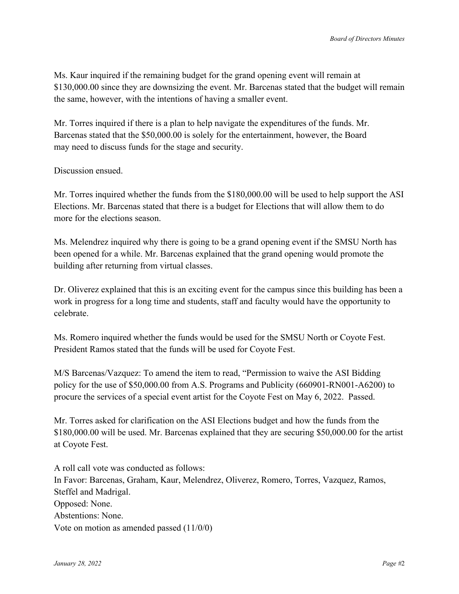Ms. Kaur inquired if the remaining budget for the grand opening event will remain at \$130,000.00 since they are downsizing the event. Mr. Barcenas stated that the budget will remain the same, however, with the intentions of having a smaller event.

Mr. Torres inquired if there is a plan to help navigate the expenditures of the funds. Mr. Barcenas stated that the \$50,000.00 is solely for the entertainment, however, the Board may need to discuss funds for the stage and security.

## Discussion ensued.

Mr. Torres inquired whether the funds from the \$180,000.00 will be used to help support the ASI Elections. Mr. Barcenas stated that there is a budget for Elections that will allow them to do more for the elections season.

Ms. Melendrez inquired why there is going to be a grand opening event if the SMSU North has been opened for a while. Mr. Barcenas explained that the grand opening would promote the building after returning from virtual classes.

Dr. Oliverez explained that this is an exciting event for the campus since this building has been a work in progress for a long time and students, staff and faculty would have the opportunity to celebrate.

Ms. Romero inquired whether the funds would be used for the SMSU North or Coyote Fest. President Ramos stated that the funds will be used for Coyote Fest.

M/S Barcenas/Vazquez: To amend the item to read, "Permission to waive the ASI Bidding policy for the use of \$50,000.00 from A.S. Programs and Publicity (660901-RN001-A6200) to procure the services of a special event artist for the Coyote Fest on May 6, 2022. Passed.

Mr. Torres asked for clarification on the ASI Elections budget and how the funds from the \$180,000.00 will be used. Mr. Barcenas explained that they are securing \$50,000.00 for the artist at Coyote Fest.

A roll call vote was conducted as follows: In Favor: Barcenas, Graham, Kaur, Melendrez, Oliverez, Romero, Torres, Vazquez, Ramos, Steffel and Madrigal. Opposed: None. Abstentions: None. Vote on motion as amended passed (11/0/0)